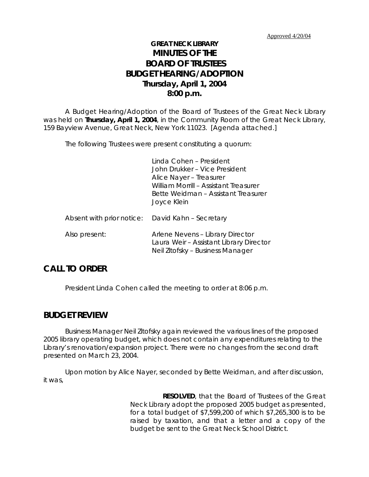# **GREAT NECK LIBRARY MINUTES OF THE BOARD OF TRUSTEES BUDGET HEARING/ADOPTION Thursday, April 1, 2004 8:00 p.m.**

A Budget Hearing/Adoption of the Board of Trustees of the Great Neck Library was held on **Thursday, April 1, 2004**, in the Community Room of the Great Neck Library, 159 Bayview Avenue, Great Neck, New York 11023. [Agenda attached.]

The following Trustees were present constituting a quorum:

Linda Cohen – President John Drukker – Vice President Alice Nayer – Treasurer William Morrill – Assistant Treasurer Bette Weidman – Assistant Treasurer Joyce Klein

| Absent with prior notice: David Kahn - Secretary |                                                                                                                 |
|--------------------------------------------------|-----------------------------------------------------------------------------------------------------------------|
| Also present:                                    | Arlene Nevens - Library Director<br>Laura Weir - Assistant Library Director<br>Neil Zitofsky - Business Manager |

### **CALL TO ORDER**

President Linda Cohen called the meeting to order at 8:06 p.m.

### **BUDGET REVIEW**

Business Manager Neil Zitofsky again reviewed the various lines of the proposed 2005 library operating budget, which does not contain any expenditures relating to the Library's renovation/expansion project. There were no changes from the second draft presented on March 23, 2004.

Upon motion by Alice Nayer, seconded by Bette Weidman, and after discussion, it was,

> **RESOLVED**, that the Board of Trustees of the Great Neck Library adopt the proposed 2005 budget as presented, for a total budget of \$7,599,200 of which \$7,265,300 is to be raised by taxation, and that a letter and a copy of the budget be sent to the Great Neck School District.